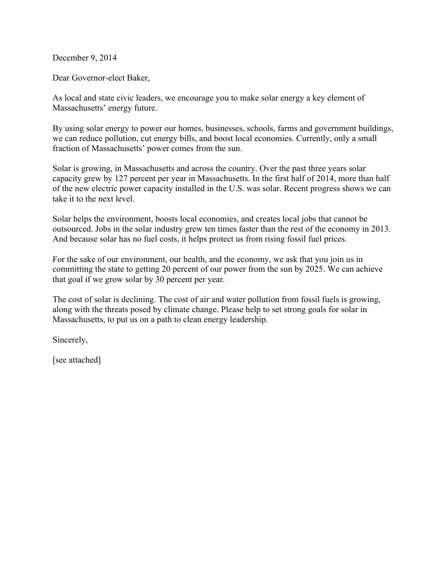December 9, 2014

Dear Governor-elect Baker,

As local and state civic leaders, we encourage you to make solar energy a key element of Massachusetts' energy future.

By using solar energy to power our homes, businesses, schools, farms and government buildings, we can reduce pollution, cut energy bills, and boost local economies. Currently, only a small fraction of Massachusetts' power comes from the sun.

Solar is growing, in Massachusetts and across the country. Over the past three years solar capacity grew by 127 percent per year in Massachusetts. In the first half of 2014, more than half of the new electric power capacity installed in the U.S. was solar. Recent progress shows we can take it to the next level.

Solar helps the environment, boosts local economies, and creates local jobs that cannot be outsourced. Jobs in the solar industry grew ten times faster than the rest of the economy in 2013. And because solar has no fuel costs, it helps protect us from rising fossil fuel prices.

For the sake of our environment, our health, and the economy, we ask that you join us in committing the state to getting 20 percent of our power from the sun by 2025. We can achieve that goal if we grow solar by 30 percent per year.

The cost of solar is declining. The cost of air and water pollution from fossil fuels is growing, along with the threats posed by climate change. Please help to set strong goals for solar in Massachusetts, to put us on a path to clean energy leadership.

Sincerely,

[see attached]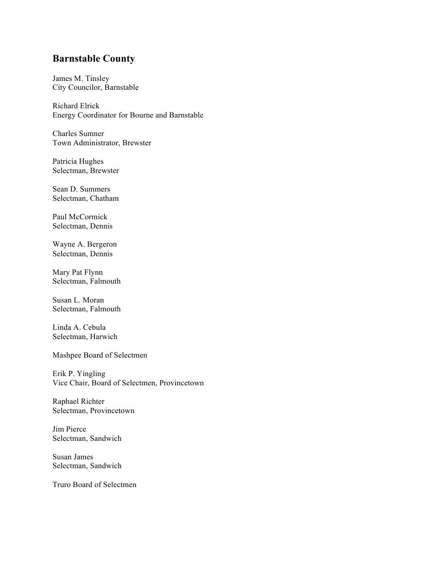### **Barnstable County**

James M. Tinsley City Councilor, Barnstable

Richard Elrick Energy Coordinator for Bourne and Barnstable

Charles Sumner Town Administrator, Brewster

Patricia Hughes Selectman, Brewster

Sean D. Summers Selectman, Chatham

Paul McCormick Selectman, Dennis

Wayne A. Bergeron Selectman, Dennis

Mary Pat Flynn Selectman, Falmouth

Susan L. Moran Selectman, Falmouth

Linda A. Cebula Selectman, Harwich

Mashpee Board of Selectmen

Erik P. Yingling Vice Chair, Board of Selectmen, Provincetown

Raphael Richter Selectman, Provincetown

Jim Pierce Selectman, Sandwich

Susan James Selectman, Sandwich

Truro Board of Selectmen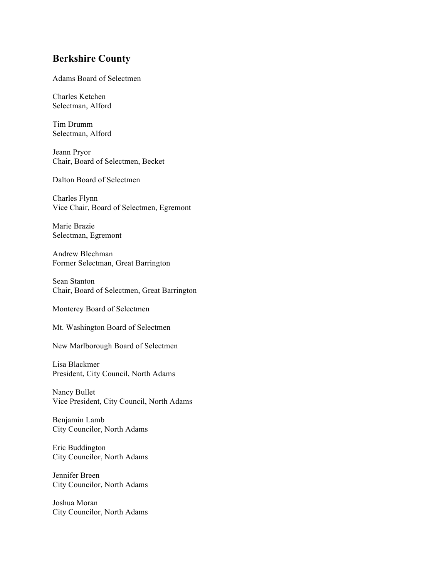### **Berkshire County**

Adams Board of Selectmen

Charles Ketchen Selectman, Alford

Tim Drumm Selectman, Alford

Jeann Pryor Chair, Board of Selectmen, Becket

Dalton Board of Selectmen

Charles Flynn Vice Chair, Board of Selectmen, Egremont

Marie Brazie Selectman, Egremont

Andrew Blechman Former Selectman, Great Barrington

Sean Stanton Chair, Board of Selectmen, Great Barrington

Monterey Board of Selectmen

Mt. Washington Board of Selectmen

New Marlborough Board of Selectmen

Lisa Blackmer President, City Council, North Adams

Nancy Bullet Vice President, City Council, North Adams

Benjamin Lamb City Councilor, North Adams

Eric Buddington City Councilor, North Adams

Jennifer Breen City Councilor, North Adams

Joshua Moran City Councilor, North Adams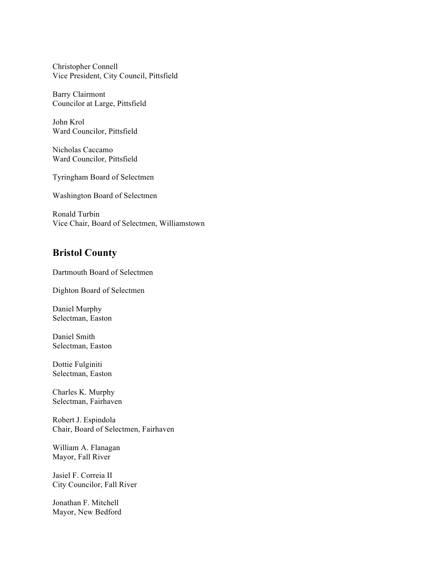Christopher Connell Vice President, City Council, Pittsfield

Barry Clairmont Councilor at Large, Pittsfield

John Krol Ward Councilor, Pittsfield

Nicholas Caccamo Ward Councilor, Pittsfield

Tyringham Board of Selectmen

Washington Board of Selectmen

Ronald Turbin Vice Chair, Board of Selectmen, Williamstown

### **Bristol County**

Dartmouth Board of Selectmen

Dighton Board of Selectmen

Daniel Murphy Selectman, Easton

Daniel Smith Selectman, Easton

Dottie Fulginiti Selectman, Easton

Charles K. Murphy Selectman, Fairhaven

Robert J. Espindola Chair, Board of Selectmen, Fairhaven

William A. Flanagan Mayor, Fall River

Jasiel F. Correia II City Councilor, Fall River

Jonathan F. Mitchell Mayor, New Bedford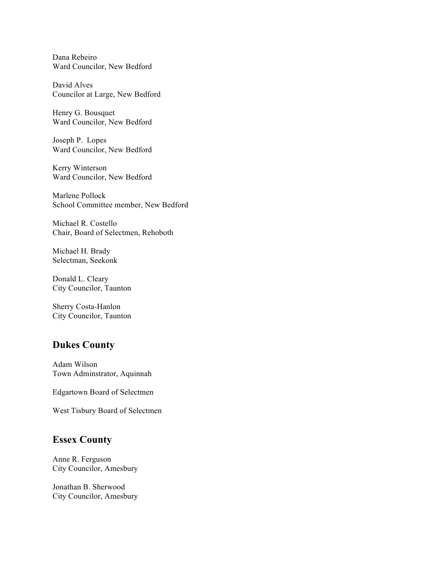Dana Rebeiro Ward Councilor, New Bedford

David Alves Councilor at Large, New Bedford

Henry G. Bousquet Ward Councilor, New Bedford

Joseph P. Lopes Ward Councilor, New Bedford

Kerry Winterson Ward Councilor, New Bedford

Marlene Pollock School Committee member, New Bedford

Michael R. Costello Chair, Board of Selectmen, Rehoboth

Michael H. Brady Selectman, Seekonk

Donald L. Cleary City Councilor, Taunton

Sherry Costa-Hanlon City Councilor, Taunton

### **Dukes County**

Adam Wilson Town Adminstrator, Aquinnah

Edgartown Board of Selectmen

West Tisbury Board of Selectmen

### **Essex County**

Anne R. Ferguson City Councilor, Amesbury

Jonathan B. Sherwood City Councilor, Amesbury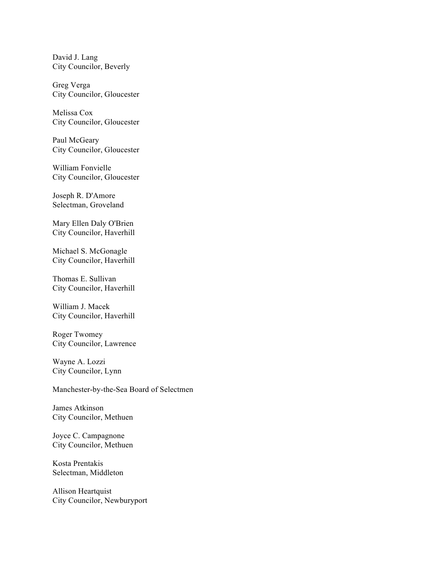David J. Lang City Councilor, Beverly

Greg Verga City Councilor, Gloucester

Melissa Cox City Councilor, Gloucester

Paul McGeary City Councilor, Gloucester

William Fonvielle City Councilor, Gloucester

Joseph R. D'Amore Selectman, Groveland

Mary Ellen Daly O'Brien City Councilor, Haverhill

Michael S. McGonagle City Councilor, Haverhill

Thomas E. Sullivan City Councilor, Haverhill

William J. Macek City Councilor, Haverhill

Roger Twomey City Councilor, Lawrence

Wayne A. Lozzi City Councilor, Lynn

Manchester-by-the-Sea Board of Selectmen

James Atkinson City Councilor, Methuen

Joyce C. Campagnone City Councilor, Methuen

Kosta Prentakis Selectman, Middleton

Allison Heartquist City Councilor, Newburyport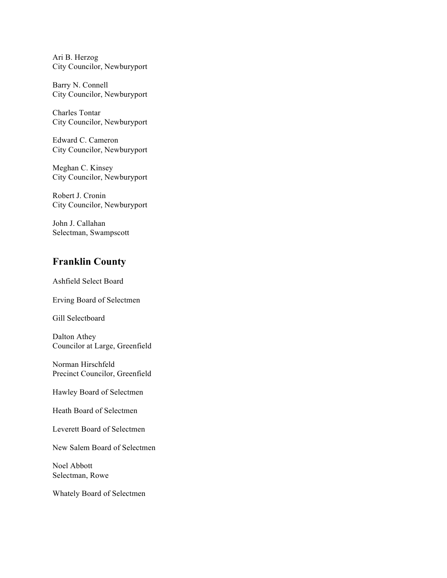Ari B. Herzog City Councilor, Newburyport

Barry N. Connell City Councilor, Newburyport

Charles Tontar City Councilor, Newburyport

Edward C. Cameron City Councilor, Newburyport

Meghan C. Kinsey City Councilor, Newburyport

Robert J. Cronin City Councilor, Newburyport

John J. Callahan Selectman, Swampscott

# **Franklin County**

Ashfield Select Board

Erving Board of Selectmen

Gill Selectboard

Dalton Athey Councilor at Large, Greenfield

Norman Hirschfeld Precinct Councilor, Greenfield

Hawley Board of Selectmen

Heath Board of Selectmen

Leverett Board of Selectmen

New Salem Board of Selectmen

Noel Abbott Selectman, Rowe

Whately Board of Selectmen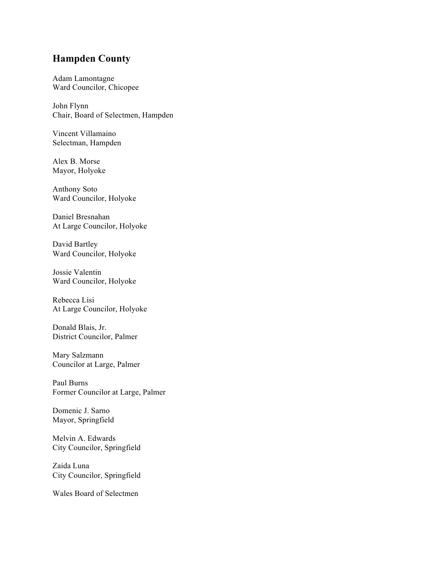### **Hampden County**

Adam Lamontagne Ward Councilor, Chicopee

John Flynn Chair, Board of Selectmen, Hampden

Vincent Villamaino Selectman, Hampden

Alex B. Morse Mayor, Holyoke

Anthony Soto Ward Councilor, Holyoke

Daniel Bresnahan At Large Councilor, Holyoke

David Bartley Ward Councilor, Holyoke

Jossie Valentin Ward Councilor, Holyoke

Rebecca Lisi At Large Councilor, Holyoke

Donald Blais, Jr. District Councilor, Palmer

Mary Salzmann Councilor at Large, Palmer

Paul Burns Former Councilor at Large, Palmer

Domenic J. Sarno Mayor, Springfield

Melvin A. Edwards City Councilor, Springfield

Zaida Luna City Councilor, Springfield

Wales Board of Selectmen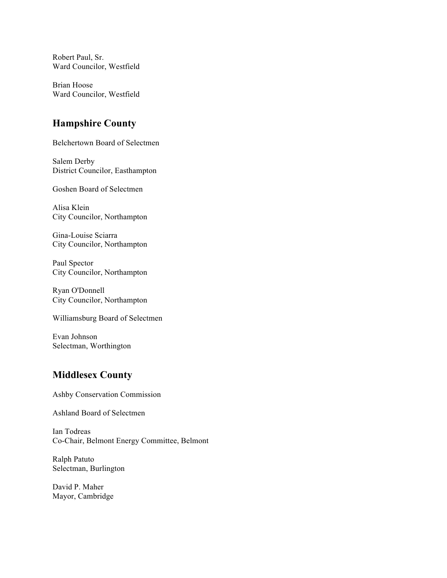Robert Paul, Sr. Ward Councilor, Westfield

Brian Hoose Ward Councilor, Westfield

# **Hampshire County**

Belchertown Board of Selectmen

Salem Derby District Councilor, Easthampton

Goshen Board of Selectmen

Alisa Klein City Councilor, Northampton

Gina-Louise Sciarra City Councilor, Northampton

Paul Spector City Councilor, Northampton

Ryan O'Donnell City Councilor, Northampton

Williamsburg Board of Selectmen

Evan Johnson Selectman, Worthington

# **Middlesex County**

Ashby Conservation Commission

Ashland Board of Selectmen

Ian Todreas Co-Chair, Belmont Energy Committee, Belmont

Ralph Patuto Selectman, Burlington

David P. Maher Mayor, Cambridge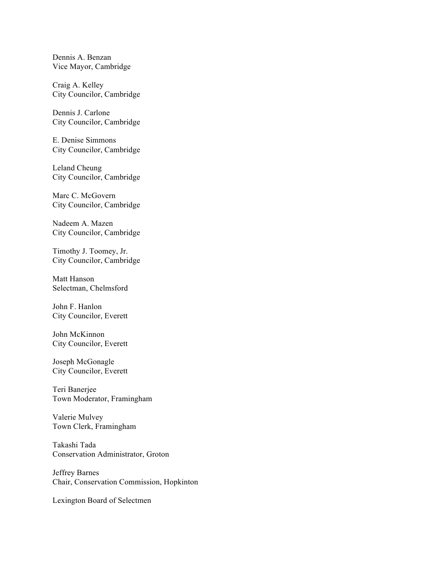Dennis A. Benzan Vice Mayor, Cambridge

Craig A. Kelley City Councilor, Cambridge

Dennis J. Carlone City Councilor, Cambridge

E. Denise Simmons City Councilor, Cambridge

Leland Cheung City Councilor, Cambridge

Marc C. McGovern City Councilor, Cambridge

Nadeem A. Mazen City Councilor, Cambridge

Timothy J. Toomey, Jr. City Councilor, Cambridge

Matt Hanson Selectman, Chelmsford

John F. Hanlon City Councilor, Everett

John McKinnon City Councilor, Everett

Joseph McGonagle City Councilor, Everett

Teri Banerjee Town Moderator, Framingham

Valerie Mulvey Town Clerk, Framingham

Takashi Tada Conservation Administrator, Groton

Jeffrey Barnes Chair, Conservation Commission, Hopkinton

Lexington Board of Selectmen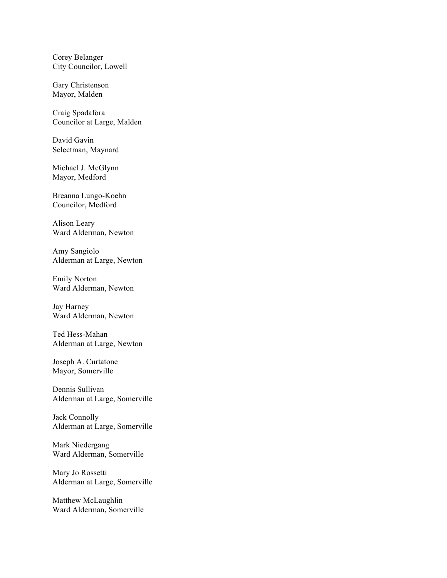Corey Belanger City Councilor, Lowell

Gary Christenson Mayor, Malden

Craig Spadafora Councilor at Large, Malden

David Gavin Selectman, Maynard

Michael J. McGlynn Mayor, Medford

Breanna Lungo-Koehn Councilor, Medford

Alison Leary Ward Alderman, Newton

Amy Sangiolo Alderman at Large, Newton

Emily Norton Ward Alderman, Newton

Jay Harney Ward Alderman, Newton

Ted Hess-Mahan Alderman at Large, Newton

Joseph A. Curtatone Mayor, Somerville

Dennis Sullivan Alderman at Large, Somerville

Jack Connolly Alderman at Large, Somerville

Mark Niedergang Ward Alderman, Somerville

Mary Jo Rossetti Alderman at Large, Somerville

Matthew McLaughlin Ward Alderman, Somerville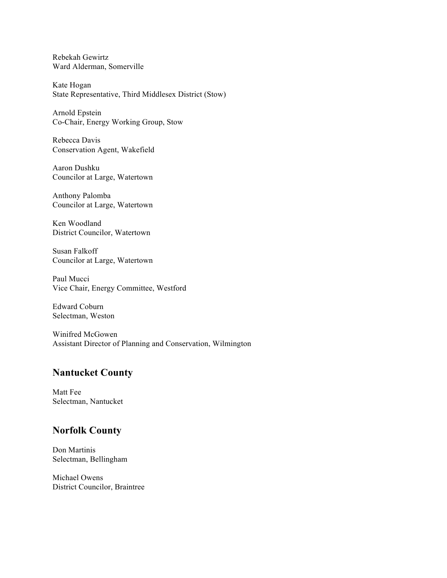Rebekah Gewirtz Ward Alderman, Somerville

Kate Hogan State Representative, Third Middlesex District (Stow)

Arnold Epstein Co-Chair, Energy Working Group, Stow

Rebecca Davis Conservation Agent, Wakefield

Aaron Dushku Councilor at Large, Watertown

Anthony Palomba Councilor at Large, Watertown

Ken Woodland District Councilor, Watertown

Susan Falkoff Councilor at Large, Watertown

Paul Mucci Vice Chair, Energy Committee, Westford

Edward Coburn Selectman, Weston

Winifred McGowen Assistant Director of Planning and Conservation, Wilmington

# **Nantucket County**

Matt Fee Selectman, Nantucket

# **Norfolk County**

Don Martinis Selectman, Bellingham

Michael Owens District Councilor, Braintree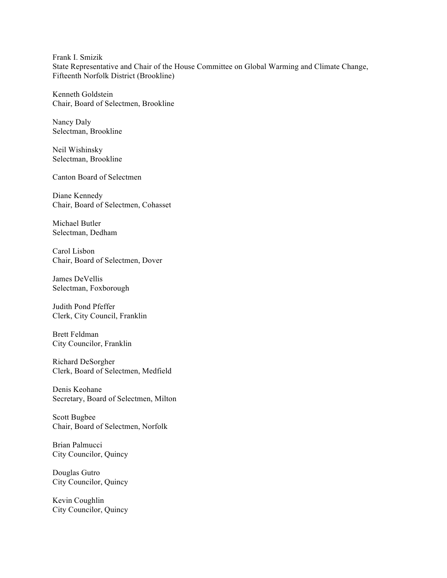Frank I. Smizik State Representative and Chair of the House Committee on Global Warming and Climate Change, Fifteenth Norfolk District (Brookline)

Kenneth Goldstein Chair, Board of Selectmen, Brookline

Nancy Daly Selectman, Brookline

Neil Wishinsky Selectman, Brookline

Canton Board of Selectmen

Diane Kennedy Chair, Board of Selectmen, Cohasset

Michael Butler Selectman, Dedham

Carol Lisbon Chair, Board of Selectmen, Dover

James DeVellis Selectman, Foxborough

Judith Pond Pfeffer Clerk, City Council, Franklin

Brett Feldman City Councilor, Franklin

Richard DeSorgher Clerk, Board of Selectmen, Medfield

Denis Keohane Secretary, Board of Selectmen, Milton

Scott Bugbee Chair, Board of Selectmen, Norfolk

Brian Palmucci City Councilor, Quincy

Douglas Gutro City Councilor, Quincy

Kevin Coughlin City Councilor, Quincy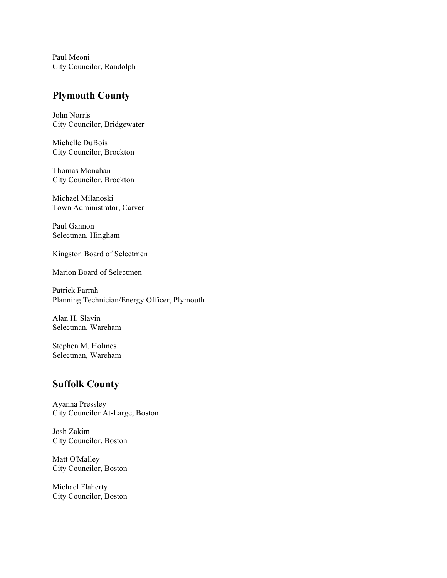Paul Meoni City Councilor, Randolph

### **Plymouth County**

John Norris City Councilor, Bridgewater

Michelle DuBois City Councilor, Brockton

Thomas Monahan City Councilor, Brockton

Michael Milanoski Town Administrator, Carver

Paul Gannon Selectman, Hingham

Kingston Board of Selectmen

Marion Board of Selectmen

Patrick Farrah Planning Technician/Energy Officer, Plymouth

Alan H. Slavin Selectman, Wareham

Stephen M. Holmes Selectman, Wareham

### **Suffolk County**

Ayanna Pressley City Councilor At-Large, Boston

Josh Zakim City Councilor, Boston

Matt O'Malley City Councilor, Boston

Michael Flaherty City Councilor, Boston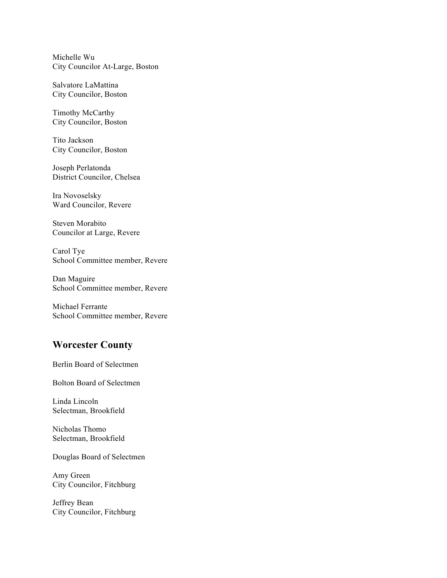Michelle Wu City Councilor At-Large, Boston

Salvatore LaMattina City Councilor, Boston

Timothy McCarthy City Councilor, Boston

Tito Jackson City Councilor, Boston

Joseph Perlatonda District Councilor, Chelsea

Ira Novoselsky Ward Councilor, Revere

Steven Morabito Councilor at Large, Revere

Carol Tye School Committee member, Revere

Dan Maguire School Committee member, Revere

Michael Ferrante School Committee member, Revere

### **Worcester County**

Berlin Board of Selectmen

Bolton Board of Selectmen

Linda Lincoln Selectman, Brookfield

Nicholas Thomo Selectman, Brookfield

Douglas Board of Selectmen

Amy Green City Councilor, Fitchburg

Jeffrey Bean City Councilor, Fitchburg